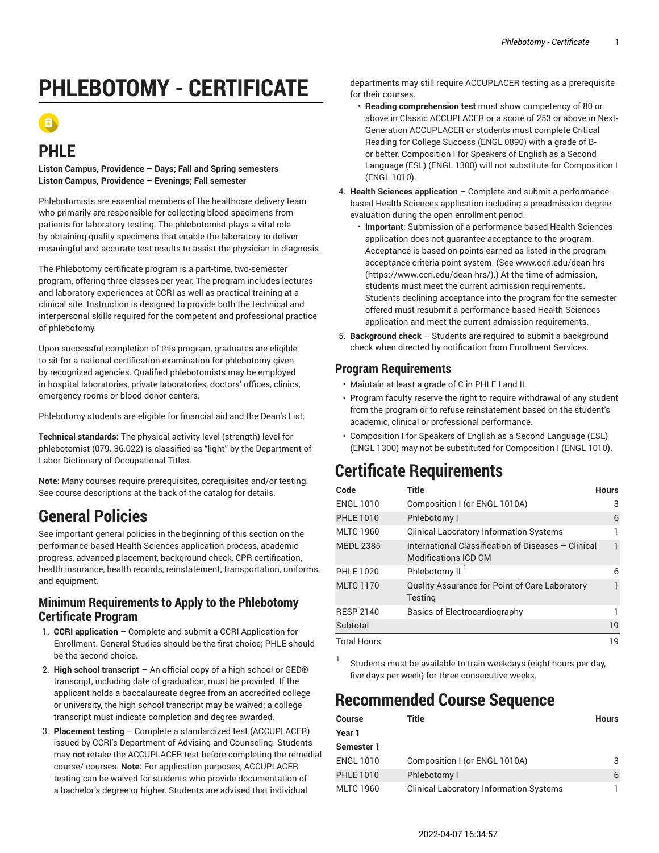# **PHLEBOTOMY - CERTIFICATE**

## **PHLE**

**Liston Campus, Providence – Days; Fall and Spring semesters Liston Campus, Providence – Evenings; Fall semester**

Phlebotomists are essential members of the healthcare delivery team who primarily are responsible for collecting blood specimens from patients for laboratory testing. The phlebotomist plays a vital role by obtaining quality specimens that enable the laboratory to deliver meaningful and accurate test results to assist the physician in diagnosis.

The Phlebotomy certificate program is a part-time, two-semester program, offering three classes per year. The program includes lectures and laboratory experiences at CCRI as well as practical training at a clinical site. Instruction is designed to provide both the technical and interpersonal skills required for the competent and professional practice of phlebotomy.

Upon successful completion of this program, graduates are eligible to sit for a national certification examination for phlebotomy given by recognized agencies. Qualified phlebotomists may be employed in hospital laboratories, private laboratories, doctors' offices, clinics, emergency rooms or blood donor centers.

Phlebotomy students are eligible for financial aid and the Dean's List.

**Technical standards:** The physical activity level (strength) level for phlebotomist (079. 36.022) is classified as "light" by the Department of Labor Dictionary of Occupational Titles.

**Note:** Many courses require prerequisites, corequisites and/or testing. See course descriptions at the back of the catalog for details.

## **General Policies**

See important general policies in the beginning of this section on the performance-based Health Sciences application process, academic progress, advanced placement, background check, CPR certification, health insurance, health records, reinstatement, transportation, uniforms, and equipment.

#### **Minimum Requirements to Apply to the Phlebotomy Certificate Program**

- 1. **CCRI application** Complete and submit a CCRI Application for Enrollment. General Studies should be the first choice; PHLE should be the second choice.
- 2. **High school transcript** An official copy of a high school or GED® transcript, including date of graduation, must be provided. If the applicant holds a baccalaureate degree from an accredited college or university, the high school transcript may be waived; a college transcript must indicate completion and degree awarded.
- 3. **Placement testing** Complete a standardized test (ACCUPLACER) issued by CCRI's Department of Advising and Counseling. Students may **not** retake the ACCUPLACER test before completing the remedial course/ courses. **Note:** For application purposes, ACCUPLACER testing can be waived for students who provide documentation of a bachelor's degree or higher. Students are advised that individual

departments may still require ACCUPLACER testing as a prerequisite for their courses.

- **Reading comprehension test** must show competency of 80 or above in Classic ACCUPLACER or a score of 253 or above in Next-Generation ACCUPLACER or students must complete Critical Reading for College Success (ENGL 0890) with a grade of Bor better. Composition I for Speakers of English as a Second Language (ESL) (ENGL 1300) will not substitute for Composition I (ENGL 1010).
- 4. **Health Sciences application** Complete and submit a performancebased Health Sciences application including a preadmission degree evaluation during the open enrollment period.
	- **Important**: Submission of a performance-based Health Sciences application does not guarantee acceptance to the program. Acceptance is based on points earned as listed in the program acceptance criteria point system. (See [www.ccri.edu/dean-hrs](https://www.ccri.edu/dean-hrs/) [\(https://www.ccri.edu/dean-hrs/\)](https://www.ccri.edu/dean-hrs/).) At the time of admission, students must meet the current admission requirements. Students declining acceptance into the program for the semester offered must resubmit a performance-based Health Sciences application and meet the current admission requirements.
- 5. **Background check** Students are required to submit a background check when directed by notification from Enrollment Services.

### **Program Requirements**

- Maintain at least a grade of C in PHLE I and II.
- Program faculty reserve the right to require withdrawal of any student from the program or to refuse reinstatement based on the student's academic, clinical or professional performance.
- Composition I for Speakers of English as a Second Language (ESL) (ENGL 1300) may not be substituted for Composition I (ENGL 1010).

## **Certificate Requirements**

| Code               | Title                                                                              | <b>Hours</b> |
|--------------------|------------------------------------------------------------------------------------|--------------|
| <b>ENGL 1010</b>   | Composition I (or ENGL 1010A)                                                      | З            |
| <b>PHLE 1010</b>   | Phlebotomy I                                                                       | 6            |
| <b>MLTC 1960</b>   | <b>Clinical Laboratory Information Systems</b>                                     |              |
| <b>MEDL 2385</b>   | International Classification of Diseases - Clinical<br><b>Modifications ICD-CM</b> |              |
| <b>PHLE 1020</b>   | Phlebotomy II <sup>I</sup>                                                         | 6            |
| <b>MLTC 1170</b>   | Quality Assurance for Point of Care Laboratory<br><b>Testing</b>                   |              |
| <b>RESP 2140</b>   | Basics of Electrocardiography                                                      |              |
| Subtotal           |                                                                                    | 19           |
| <b>Total Hours</b> |                                                                                    | 19           |

1

Students must be available to train weekdays (eight hours per day, five days per week) for three consecutive weeks.

## **Recommended Course Sequence**

| Course           | Title                                          | <b>Hours</b> |
|------------------|------------------------------------------------|--------------|
| Year 1           |                                                |              |
| Semester 1       |                                                |              |
| ENGL 1010        | Composition I (or ENGL 1010A)                  | 3            |
| <b>PHLE 1010</b> | Phlebotomy I                                   | 6            |
| MLTC 1960        | <b>Clinical Laboratory Information Systems</b> |              |